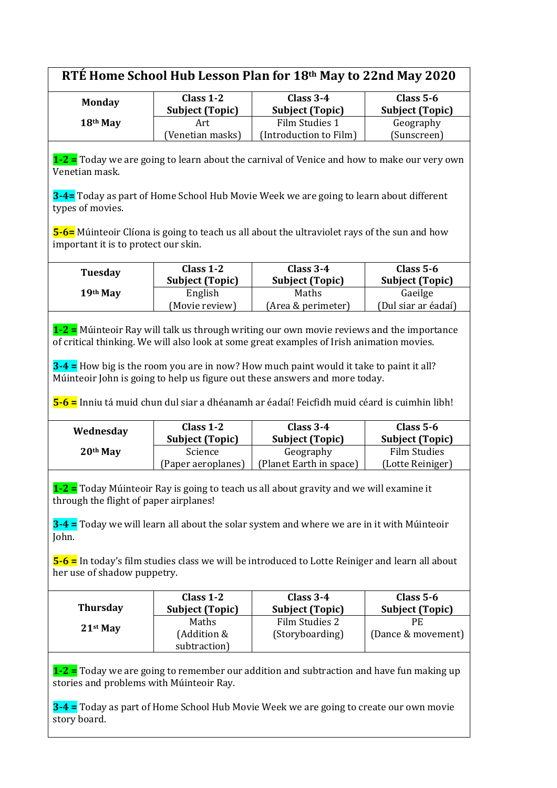| RTÉ Home School Hub Lesson Plan for 18th May to 22nd May 2020 |  |
|---------------------------------------------------------------|--|
|---------------------------------------------------------------|--|

| <b>Monday</b> | Class $1-2$<br><b>Subject (Topic)</b> | Class $3-4$<br><b>Subject (Topic)</b> | Class $5-6$<br><b>Subject (Topic)</b> |
|---------------|---------------------------------------|---------------------------------------|---------------------------------------|
| 18th May      | Art                                   | Film Studies 1                        | Geography                             |
|               | (Venetian masks)                      | (Introduction to Film)                | (Sunscreen)                           |

**1-2 =** Today we are going to learn about the carnival of Venice and how to make our very own Venetian mask.

**3-4=** Today as part of Home School Hub Movie Week we are going to learn about different types of movies.

**5-6=** Múinteoir Clíona is going to teach us all about the ultraviolet rays of the sun and how important it is to protect our skin.

| Tuesday  | Class $1-2$<br><b>Subject (Topic)</b> | Class $3-4$<br><b>Subject (Topic)</b> | Class $5-6$<br><b>Subject (Topic)</b> |
|----------|---------------------------------------|---------------------------------------|---------------------------------------|
| 19th May | English                               | Maths                                 | Gaeilge                               |
|          | (Movie review)                        | (Area & perimeter)                    | (Dul siar ar éadaí)                   |

**1-2 =** Múinteoir Ray will talk us through writing our own movie reviews and the importance of critical thinking. We will also look at some great examples of Irish animation movies.

**3-4 =** How big is the room you are in now? How much paint would it take to paint it all? Múinteoir John is going to help us figure out these answers and more today.

**5-6 =** Inniu tá muid chun dul siar a dhéanamh ar éadaí! Feicfidh muid céard is cuimhin libh!

| Wednesday  | Class $1-2$<br><b>Subject (Topic)</b> | Class $3-4$<br><b>Subject (Topic)</b> | Class $5-6$<br><b>Subject (Topic)</b> |
|------------|---------------------------------------|---------------------------------------|---------------------------------------|
| $20th$ May | <b>Science</b>                        | Geography                             | <b>Film Studies</b>                   |
|            | (Paper aeroplanes)                    | (Planet Earth in space)               | (Lotte Reiniger)                      |

**1-2 =** Today Múinteoir Ray is going to teach us all about gravity and we will examine it through the flight of paper airplanes!

**3-4 =** Today we will learn all about the solar system and where we are in it with Múinteoir John.

**5-6 =** In today's film studies class we will be introduced to Lotte Reiniger and learn all about her use of shadow puppetry.

| <b>Thursday</b> | Class $1-2$            | Class $3-4$            | Class $5-6$            |
|-----------------|------------------------|------------------------|------------------------|
|                 | <b>Subject (Topic)</b> | <b>Subject (Topic)</b> | <b>Subject (Topic)</b> |
| $21st$ May      | Maths                  | Film Studies 2         | PF.                    |
|                 | (Addition &            | (Storyboarding)        | (Dance & movement)     |
|                 | subtraction)           |                        |                        |

**1-2 =** Today we are going to remember our addition and subtraction and have fun making up stories and problems with Múinteoir Ray.

**3-4 =** Today as part of Home School Hub Movie Week we are going to create our own movie story board.